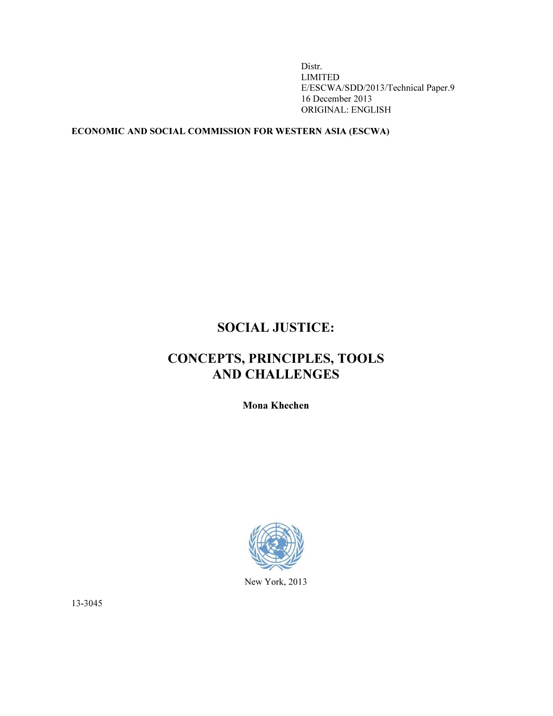Distr. LIMITED E/ESCWA/SDD/2013/Technical Paper.9 16 December 2013 ORIGINAL: ENGLISH

# ECONOMIC AND SOCIAL COMMISSION FOR WESTERN ASIA (ESCWA)

# SOCIAL JUSTICE:

# CONCEPTS, PRINCIPLES, TOOLS AND CHALLENGES

Mona Khechen



New York, 2013

13-3045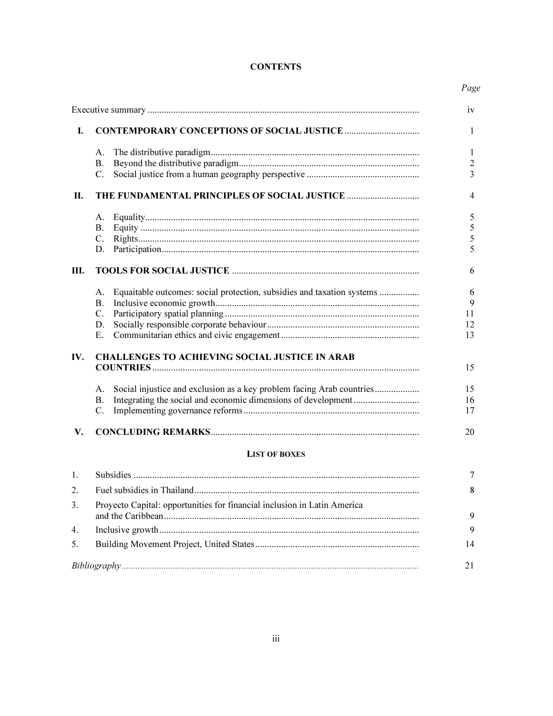# **CONTENTS**

|     |                                                                              | iv             |
|-----|------------------------------------------------------------------------------|----------------|
| I.  |                                                                              | 1              |
|     | А.                                                                           | 1              |
|     | Β.                                                                           | $\overline{2}$ |
|     | C.                                                                           | 3              |
| П.  |                                                                              | $\overline{4}$ |
|     | А.                                                                           | 5              |
|     | Β.                                                                           | 5              |
|     | C.                                                                           | 5              |
|     | D.                                                                           | 5              |
| Ш.  |                                                                              | 6              |
|     | Equaitable outcomes: social protection, subsidies and taxation systems<br>А. | 6              |
|     | Β.                                                                           | 9              |
|     | C.<br>D.                                                                     | 11<br>12       |
|     | Ε.                                                                           | 13             |
| IV. | <b>CHALLENGES TO ACHIEVING SOCIAL JUSTICE IN ARAB</b>                        |                |
|     |                                                                              | 15             |
|     | Social injustice and exclusion as a key problem facing Arab countries<br>А.  | 15             |
|     | В.                                                                           | 16             |
|     | C.                                                                           | 17             |
| V.  |                                                                              | 20             |
|     | <b>LIST OF BOXES</b>                                                         |                |
| 1.  |                                                                              | 7              |
| 2.  |                                                                              | 8              |
| 3.  | Proyecto Capital: opportunities for financial inclusion in Latin America     | 9              |
| 4.  |                                                                              | 9              |
| 5.  |                                                                              | 14             |
|     |                                                                              | 21             |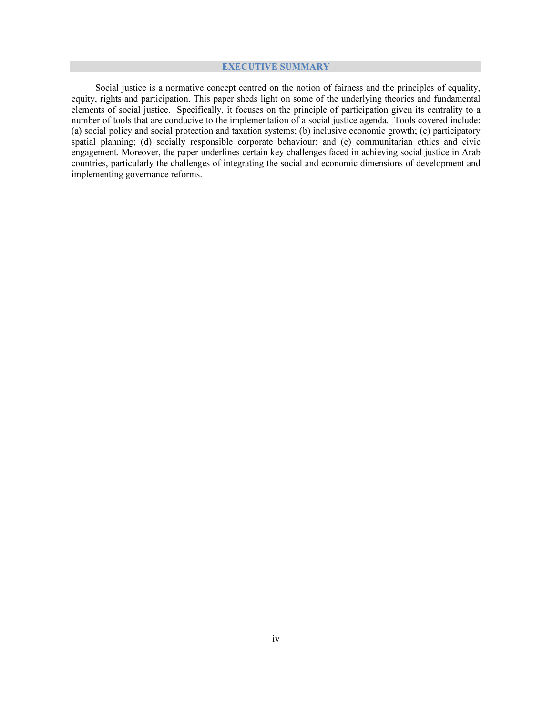# EXECUTIVE SUMMARY

 Social justice is a normative concept centred on the notion of fairness and the principles of equality, equity, rights and participation. This paper sheds light on some of the underlying theories and fundamental elements of social justice. Specifically, it focuses on the principle of participation given its centrality to a number of tools that are conducive to the implementation of a social justice agenda. Tools covered include: (a) social policy and social protection and taxation systems; (b) inclusive economic growth; (c) participatory spatial planning; (d) socially responsible corporate behaviour; and (e) communitarian ethics and civic engagement. Moreover, the paper underlines certain key challenges faced in achieving social justice in Arab countries, particularly the challenges of integrating the social and economic dimensions of development and implementing governance reforms.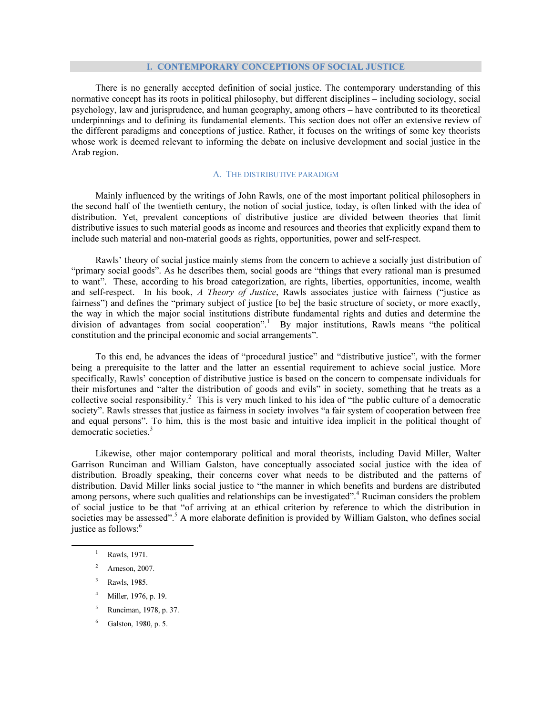#### **CONTEMPORARY CONCEPTIONS OF SOCIAL JUSTICE**

 There is no generally accepted definition of social justice. The contemporary understanding of this normative concept has its roots in political philosophy, but different disciplines – including sociology, social psychology, law and jurisprudence, and human geography, among others – have contributed to its theoretical underpinnings and to defining its fundamental elements. This section does not offer an extensive review of the different paradigms and conceptions of justice. Rather, it focuses on the writings of some key theorists whose work is deemed relevant to informing the debate on inclusive development and social justice in the Arab region.

# A. THE DISTRIBUTIVE PARADIGM

 Mainly influenced by the writings of John Rawls, one of the most important political philosophers in the second half of the twentieth century, the notion of social justice, today, is often linked with the idea of distribution. Yet, prevalent conceptions of distributive justice are divided between theories that limit distributive issues to such material goods as income and resources and theories that explicitly expand them to include such material and non-material goods as rights, opportunities, power and self-respect.

 Rawls' theory of social justice mainly stems from the concern to achieve a socially just distribution of "primary social goods". As he describes them, social goods are "things that every rational man is presumed to want". These, according to his broad categorization, are rights, liberties, opportunities, income, wealth and self-respect. In his book, A Theory of Justice, Rawls associates justice with fairness ("justice as fairness") and defines the "primary subject of justice [to be] the basic structure of society, or more exactly, the way in which the major social institutions distribute fundamental rights and duties and determine the division of advantages from social cooperation".<sup>1</sup> By major institutions, Rawls means "the political constitution and the principal economic and social arrangements".

 To this end, he advances the ideas of "procedural justice" and "distributive justice", with the former being a prerequisite to the latter and the latter an essential requirement to achieve social justice. More specifically, Rawls' conception of distributive justice is based on the concern to compensate individuals for their misfortunes and "alter the distribution of goods and evils" in society, something that he treats as a collective social responsibility.<sup>2</sup> This is very much linked to his idea of "the public culture of a democratic society". Rawls stresses that justice as fairness in society involves "a fair system of cooperation between free and equal persons". To him, this is the most basic and intuitive idea implicit in the political thought of democratic societies.<sup>3</sup>

 Likewise, other major contemporary political and moral theorists, including David Miller, Walter Garrison Runciman and William Galston, have conceptually associated social justice with the idea of distribution. Broadly speaking, their concerns cover what needs to be distributed and the patterns of distribution. David Miller links social justice to "the manner in which benefits and burdens are distributed among persons, where such qualities and relationships can be investigated".<sup>4</sup> Ruciman considers the problem of social justice to be that "of arriving at an ethical criterion by reference to which the distribution in societies may be assessed".<sup>5</sup> A more elaborate definition is provided by William Galston, who defines social justice as follows:<sup>6</sup>

1 Rawls, 1971.

- 2 Arneson, 2007.
- 3 Rawls, 1985.
- 4 Miller, 1976, p. 19.
- 5 Runciman, 1978, p. 37.
- 6 Galston, 1980, p. 5.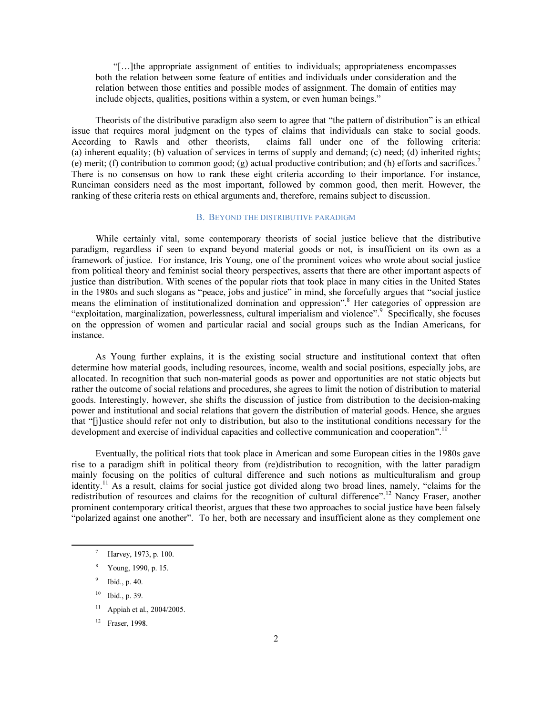"[…]the appropriate assignment of entities to individuals; appropriateness encompasses both the relation between some feature of entities and individuals under consideration and the relation between those entities and possible modes of assignment. The domain of entities may include objects, qualities, positions within a system, or even human beings."

 Theorists of the distributive paradigm also seem to agree that "the pattern of distribution" is an ethical issue that requires moral judgment on the types of claims that individuals can stake to social goods. According to Rawls and other theorists, claims fall under one of the following criteria: (a) inherent equality; (b) valuation of services in terms of supply and demand; (c) need; (d) inherited rights; (e) merit; (f) contribution to common good; (g) actual productive contribution; and (h) efforts and sacrifices.<sup>7</sup> There is no consensus on how to rank these eight criteria according to their importance. For instance, Runciman considers need as the most important, followed by common good, then merit. However, the ranking of these criteria rests on ethical arguments and, therefore, remains subject to discussion.

# B. BEYOND THE DISTRIBUTIVE PARADIGM

 While certainly vital, some contemporary theorists of social justice believe that the distributive paradigm, regardless if seen to expand beyond material goods or not, is insufficient on its own as a framework of justice. For instance, Iris Young, one of the prominent voices who wrote about social justice from political theory and feminist social theory perspectives, asserts that there are other important aspects of justice than distribution. With scenes of the popular riots that took place in many cities in the United States in the 1980s and such slogans as "peace, jobs and justice" in mind, she forcefully argues that "social justice means the elimination of institutionalized domination and oppression".<sup>8</sup> Her categories of oppression are "exploitation, marginalization, powerlessness, cultural imperialism and violence".<sup>9</sup> Specifically, she focuses on the oppression of women and particular racial and social groups such as the Indian Americans, for instance.

 As Young further explains, it is the existing social structure and institutional context that often determine how material goods, including resources, income, wealth and social positions, especially jobs, are allocated. In recognition that such non-material goods as power and opportunities are not static objects but rather the outcome of social relations and procedures, she agrees to limit the notion of distribution to material goods. Interestingly, however, she shifts the discussion of justice from distribution to the decision-making power and institutional and social relations that govern the distribution of material goods. Hence, she argues that "[j]ustice should refer not only to distribution, but also to the institutional conditions necessary for the development and exercise of individual capacities and collective communication and cooperation".<sup>10</sup>

 Eventually, the political riots that took place in American and some European cities in the 1980s gave rise to a paradigm shift in political theory from (re)distribution to recognition, with the latter paradigm mainly focusing on the politics of cultural difference and such notions as multiculturalism and group identity.<sup>11</sup> As a result, claims for social justice got divided along two broad lines, namely, "claims for the redistribution of resources and claims for the recognition of cultural difference".<sup>12</sup> Nancy Fraser, another prominent contemporary critical theorist, argues that these two approaches to social justice have been falsely "polarized against one another". To her, both are necessary and insufficient alone as they complement one

9 Ibid., p. 40.

- $10$  Ibid., p. 39.
- $11$  Appiah et al., 2004/2005.
- <sup>12</sup> Fraser, 1998.

<sup>7</sup> Harvey, 1973, p. 100.

<sup>8</sup> Young, 1990, p. 15.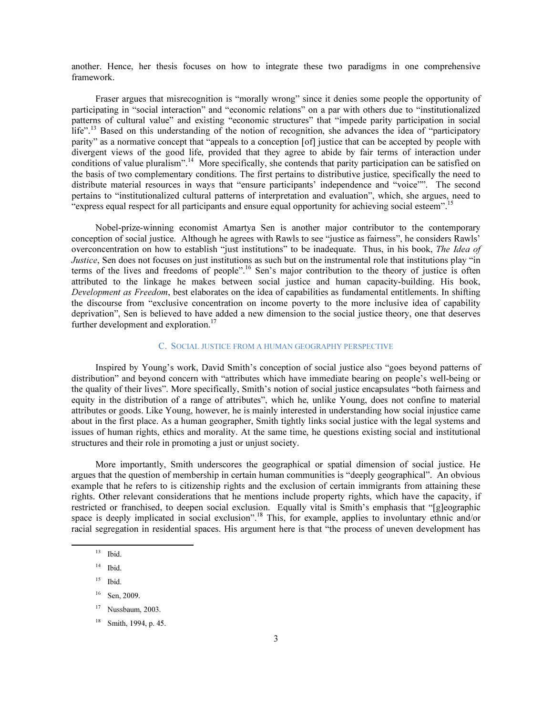another. Hence, her thesis focuses on how to integrate these two paradigms in one comprehensive framework.

 Fraser argues that misrecognition is "morally wrong" since it denies some people the opportunity of participating in "social interaction" and "economic relations" on a par with others due to "institutionalized patterns of cultural value" and existing "economic structures" that "impede parity participation in social life".<sup>13</sup> Based on this understanding of the notion of recognition, she advances the idea of "participatory" parity" as a normative concept that "appeals to a conception [of] justice that can be accepted by people with divergent views of the good life, provided that they agree to abide by fair terms of interaction under conditions of value pluralism".<sup>14</sup> More specifically, she contends that parity participation can be satisfied on the basis of two complementary conditions. The first pertains to distributive justice, specifically the need to distribute material resources in ways that "ensure participants' independence and "voice"". The second pertains to "institutionalized cultural patterns of interpretation and evaluation", which, she argues, need to "express equal respect for all participants and ensure equal opportunity for achieving social esteem".

 Nobel-prize-winning economist Amartya Sen is another major contributor to the contemporary conception of social justice. Although he agrees with Rawls to see "justice as fairness", he considers Rawls' overconcentration on how to establish "just institutions" to be inadequate. Thus, in his book, The Idea of *Justice*. Sen does not focuses on just institutions as such but on the instrumental role that institutions play "in terms of the lives and freedoms of people".<sup>16</sup> Sen's major contribution to the theory of justice is often attributed to the linkage he makes between social justice and human capacity-building. His book, Development as Freedom, best elaborates on the idea of capabilities as fundamental entitlements. In shifting the discourse from "exclusive concentration on income poverty to the more inclusive idea of capability deprivation", Sen is believed to have added a new dimension to the social justice theory, one that deserves further development and exploration.<sup>17</sup>

#### C. SOCIAL JUSTICE FROM A HUMAN GEOGRAPHY PERSPECTIVE

 Inspired by Young's work, David Smith's conception of social justice also "goes beyond patterns of distribution" and beyond concern with "attributes which have immediate bearing on people's well-being or the quality of their lives". More specifically, Smith's notion of social justice encapsulates "both fairness and equity in the distribution of a range of attributes", which he, unlike Young, does not confine to material attributes or goods. Like Young, however, he is mainly interested in understanding how social injustice came about in the first place. As a human geographer, Smith tightly links social justice with the legal systems and issues of human rights, ethics and morality. At the same time, he questions existing social and institutional structures and their role in promoting a just or unjust society.

 More importantly, Smith underscores the geographical or spatial dimension of social justice. He argues that the question of membership in certain human communities is "deeply geographical". An obvious example that he refers to is citizenship rights and the exclusion of certain immigrants from attaining these rights. Other relevant considerations that he mentions include property rights, which have the capacity, if restricted or franchised, to deepen social exclusion. Equally vital is Smith's emphasis that "[g]eographic space is deeply implicated in social exclusion".<sup>18</sup> This, for example, applies to involuntary ethnic and/or racial segregation in residential spaces. His argument here is that "the process of uneven development has

 $13$  Ibid.

 $14$  Ibid.

 $15$  Ibid.

<sup>16</sup> Sen, 2009.

 $17$  Nussbaum, 2003.

<sup>18</sup> Smith, 1994, p. 45.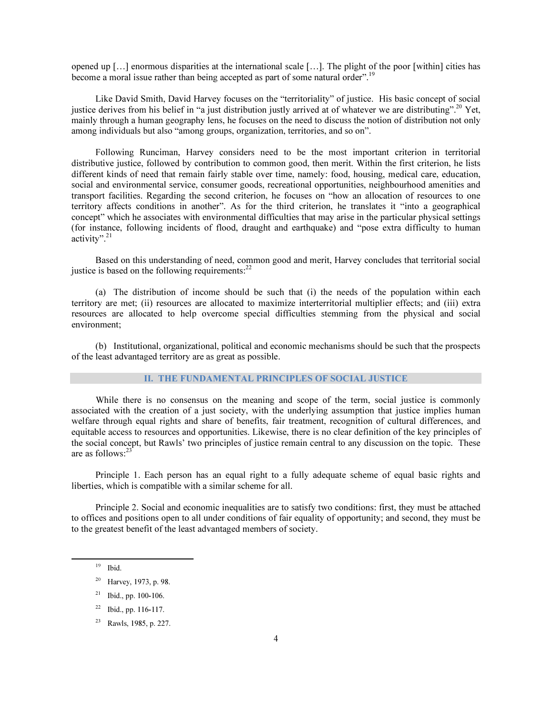opened up […] enormous disparities at the international scale […]. The plight of the poor [within] cities has become a moral issue rather than being accepted as part of some natural order".<sup>19</sup>

 Like David Smith, David Harvey focuses on the "territoriality" of justice. His basic concept of social justice derives from his belief in "a just distribution justly arrived at of whatever we are distributing".<sup>20</sup> Yet, mainly through a human geography lens, he focuses on the need to discuss the notion of distribution not only among individuals but also "among groups, organization, territories, and so on".

 Following Runciman, Harvey considers need to be the most important criterion in territorial distributive justice, followed by contribution to common good, then merit. Within the first criterion, he lists different kinds of need that remain fairly stable over time, namely: food, housing, medical care, education, social and environmental service, consumer goods, recreational opportunities, neighbourhood amenities and transport facilities. Regarding the second criterion, he focuses on "how an allocation of resources to one territory affects conditions in another". As for the third criterion, he translates it "into a geographical concept" which he associates with environmental difficulties that may arise in the particular physical settings (for instance, following incidents of flood, draught and earthquake) and "pose extra difficulty to human activity".<sup>21</sup>

 Based on this understanding of need, common good and merit, Harvey concludes that territorial social justice is based on the following requirements:<sup>22</sup>

 (a) The distribution of income should be such that (i) the needs of the population within each territory are met; (ii) resources are allocated to maximize interterritorial multiplier effects; and (iii) extra resources are allocated to help overcome special difficulties stemming from the physical and social environment;

 (b) Institutional, organizational, political and economic mechanisms should be such that the prospects of the least advantaged territory are as great as possible.

# II. THE FUNDAMENTAL PRINCIPLES OF SOCIAL JUSTICE

 While there is no consensus on the meaning and scope of the term, social justice is commonly associated with the creation of a just society, with the underlying assumption that justice implies human welfare through equal rights and share of benefits, fair treatment, recognition of cultural differences, and equitable access to resources and opportunities. Likewise, there is no clear definition of the key principles of the social concept, but Rawls' two principles of justice remain central to any discussion on the topic. These are as follows: $23$ 

 Principle 1. Each person has an equal right to a fully adequate scheme of equal basic rights and liberties, which is compatible with a similar scheme for all.

 Principle 2. Social and economic inequalities are to satisfy two conditions: first, they must be attached to offices and positions open to all under conditions of fair equality of opportunity; and second, they must be to the greatest benefit of the least advantaged members of society.

<sup>19</sup> Ibid.

<sup>20</sup> Harvey, 1973, p. 98.

 $21$  Ibid., pp. 100-106.

 $22$  Ibid., pp. 116-117.

<sup>23</sup> Rawls, 1985, p. 227.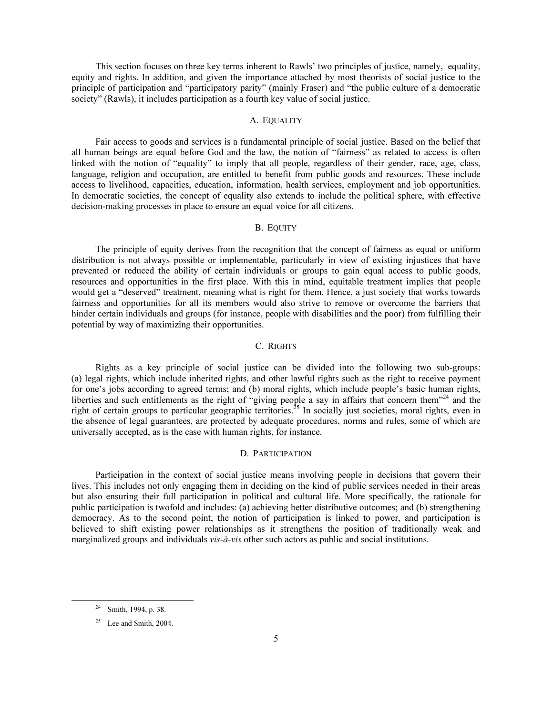This section focuses on three key terms inherent to Rawls' two principles of justice, namely, equality, equity and rights. In addition, and given the importance attached by most theorists of social justice to the principle of participation and "participatory parity" (mainly Fraser) and "the public culture of a democratic society" (Rawls), it includes participation as a fourth key value of social justice.

# A. EQUALITY

 Fair access to goods and services is a fundamental principle of social justice. Based on the belief that all human beings are equal before God and the law, the notion of "fairness" as related to access is often linked with the notion of "equality" to imply that all people, regardless of their gender, race, age, class, language, religion and occupation, are entitled to benefit from public goods and resources. These include access to livelihood, capacities, education, information, health services, employment and job opportunities. In democratic societies, the concept of equality also extends to include the political sphere, with effective decision-making processes in place to ensure an equal voice for all citizens.

### B. EQUITY

 The principle of equity derives from the recognition that the concept of fairness as equal or uniform distribution is not always possible or implementable, particularly in view of existing injustices that have prevented or reduced the ability of certain individuals or groups to gain equal access to public goods, resources and opportunities in the first place. With this in mind, equitable treatment implies that people would get a "deserved" treatment, meaning what is right for them. Hence, a just society that works towards fairness and opportunities for all its members would also strive to remove or overcome the barriers that hinder certain individuals and groups (for instance, people with disabilities and the poor) from fulfilling their potential by way of maximizing their opportunities.

# C. RIGHTS

 Rights as a key principle of social justice can be divided into the following two sub-groups: (a) legal rights, which include inherited rights, and other lawful rights such as the right to receive payment for one's jobs according to agreed terms; and (b) moral rights, which include people's basic human rights, liberties and such entitlements as the right of "giving people a say in affairs that concern them"<sup>24</sup> and the right of certain groups to particular geographic territories.<sup>25</sup> In socially just societies, moral rights, even in the absence of legal guarantees, are protected by adequate procedures, norms and rules, some of which are universally accepted, as is the case with human rights, for instance.

# D. PARTICIPATION

 Participation in the context of social justice means involving people in decisions that govern their lives. This includes not only engaging them in deciding on the kind of public services needed in their areas but also ensuring their full participation in political and cultural life. More specifically, the rationale for public participation is twofold and includes: (a) achieving better distributive outcomes; and (b) strengthening democracy. As to the second point, the notion of participation is linked to power, and participation is believed to shift existing power relationships as it strengthens the position of traditionally weak and marginalized groups and individuals *vis-à-vis* other such actors as public and social institutions.

<sup>24</sup> Smith, 1994, p. 38.

 $25$  Lee and Smith, 2004.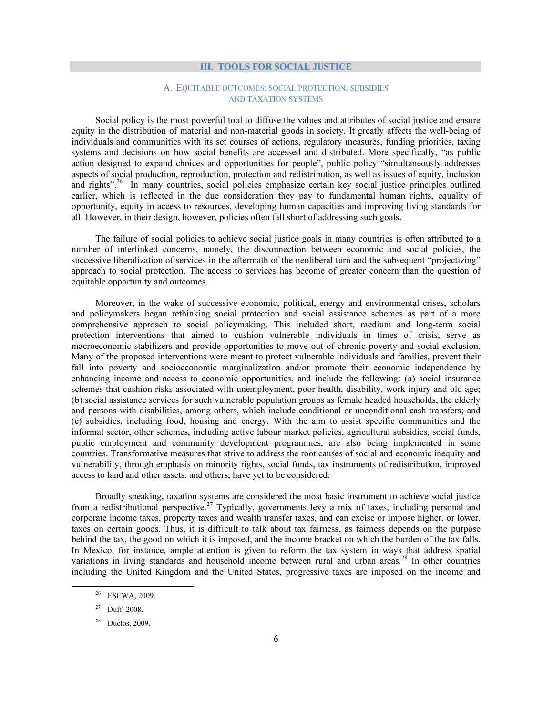#### III. TOOLS FOR SOCIAL JUSTICE

# A. EQUITABLE OUTCOMES: SOCIAL PROTECTION, SUBSIDIES AND TAXATION SYSTEMS

 Social policy is the most powerful tool to diffuse the values and attributes of social justice and ensure equity in the distribution of material and non-material goods in society. It greatly affects the well-being of individuals and communities with its set courses of actions, regulatory measures, funding priorities, taxing systems and decisions on how social benefits are accessed and distributed. More specifically, "as public action designed to expand choices and opportunities for people", public policy "simultaneously addresses aspects of social production, reproduction, protection and redistribution, as well as issues of equity, inclusion and rights"<sup>26</sup> In many countries, social policies emphasize certain key social justice principles outlined earlier, which is reflected in the due consideration they pay to fundamental human rights, equality of opportunity, equity in access to resources, developing human capacities and improving living standards for all. However, in their design, however, policies often fall short of addressing such goals.

 The failure of social policies to achieve social justice goals in many countries is often attributed to a number of interlinked concerns, namely, the disconnection between economic and social policies, the successive liberalization of services in the aftermath of the neoliberal turn and the subsequent "projectizing" approach to social protection. The access to services has become of greater concern than the question of equitable opportunity and outcomes.

 Moreover, in the wake of successive economic, political, energy and environmental crises, scholars and policymakers began rethinking social protection and social assistance schemes as part of a more comprehensive approach to social policymaking. This included short, medium and long-term social protection interventions that aimed to cushion vulnerable individuals in times of crisis, serve as macroeconomic stabilizers and provide opportunities to move out of chronic poverty and social exclusion. Many of the proposed interventions were meant to protect vulnerable individuals and families, prevent their fall into poverty and socioeconomic marginalization and/or promote their economic independence by enhancing income and access to economic opportunities, and include the following: (a) social insurance schemes that cushion risks associated with unemployment, poor health, disability, work injury and old age; (b) social assistance services for such vulnerable population groups as female headed households, the elderly and persons with disabilities, among others, which include conditional or unconditional cash transfers; and (c) subsidies, including food, housing and energy. With the aim to assist specific communities and the informal sector, other schemes, including active labour market policies, agricultural subsidies, social funds, public employment and community development programmes, are also being implemented in some countries. Transformative measures that strive to address the root causes of social and economic inequity and vulnerability, through emphasis on minority rights, social funds, tax instruments of redistribution, improved access to land and other assets, and others, have yet to be considered.

 Broadly speaking, taxation systems are considered the most basic instrument to achieve social justice from a redistributional perspective.<sup>27</sup> Typically, governments levy a mix of taxes, including personal and corporate income taxes, property taxes and wealth transfer taxes, and can excise or impose higher, or lower, taxes on certain goods. Thus, it is difficult to talk about tax fairness, as fairness depends on the purpose behind the tax, the good on which it is imposed, and the income bracket on which the burden of the tax falls. In Mexico, for instance, ample attention is given to reform the tax system in ways that address spatial variations in living standards and household income between rural and urban areas.<sup>28</sup> In other countries including the United Kingdom and the United States, progressive taxes are imposed on the income and

<sup>26</sup> ESCWA, 2009.

 $27$  Duff, 2008.

 $28$  Duclos, 2009.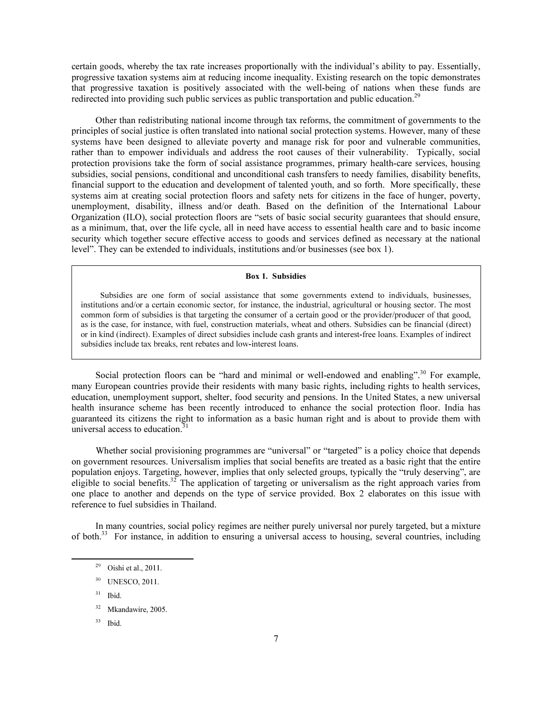certain goods, whereby the tax rate increases proportionally with the individual's ability to pay. Essentially, progressive taxation systems aim at reducing income inequality. Existing research on the topic demonstrates that progressive taxation is positively associated with the well-being of nations when these funds are redirected into providing such public services as public transportation and public education.<sup>29</sup>

 Other than redistributing national income through tax reforms, the commitment of governments to the principles of social justice is often translated into national social protection systems. However, many of these systems have been designed to alleviate poverty and manage risk for poor and vulnerable communities, rather than to empower individuals and address the root causes of their vulnerability. Typically, social protection provisions take the form of social assistance programmes, primary health-care services, housing subsidies, social pensions, conditional and unconditional cash transfers to needy families, disability benefits, financial support to the education and development of talented youth, and so forth. More specifically, these systems aim at creating social protection floors and safety nets for citizens in the face of hunger, poverty, unemployment, disability, illness and/or death. Based on the definition of the International Labour Organization (ILO), social protection floors are "sets of basic social security guarantees that should ensure, as a minimum, that, over the life cycle, all in need have access to essential health care and to basic income security which together secure effective access to goods and services defined as necessary at the national level". They can be extended to individuals, institutions and/or businesses (see box 1).

#### Box 1. Subsidies

 Subsidies are one form of social assistance that some governments extend to individuals, businesses, institutions and/or a certain economic sector, for instance, the industrial, agricultural or housing sector. The most common form of subsidies is that targeting the consumer of a certain good or the provider/producer of that good, as is the case, for instance, with fuel, construction materials, wheat and others. Subsidies can be financial (direct) or in kind (indirect). Examples of direct subsidies include cash grants and interest-free loans. Examples of indirect subsidies include tax breaks, rent rebates and low-interest loans.

Social protection floors can be "hard and minimal or well-endowed and enabling".<sup>30</sup> For example, many European countries provide their residents with many basic rights, including rights to health services, education, unemployment support, shelter, food security and pensions. In the United States, a new universal health insurance scheme has been recently introduced to enhance the social protection floor. India has guaranteed its citizens the right to information as a basic human right and is about to provide them with universal access to education.<sup>3</sup>

Whether social provisioning programmes are "universal" or "targeted" is a policy choice that depends on government resources. Universalism implies that social benefits are treated as a basic right that the entire population enjoys. Targeting, however, implies that only selected groups, typically the "truly deserving", are eligible to social benefits.<sup>32</sup> The application of targeting or universalism as the right approach varies from one place to another and depends on the type of service provided. Box 2 elaborates on this issue with reference to fuel subsidies in Thailand.

 In many countries, social policy regimes are neither purely universal nor purely targeted, but a mixture of both.<sup>33</sup> For instance, in addition to ensuring a universal access to housing, several countries, including

 $\overline{a}$ 

<sup>33</sup> Ibid.

 $29$  Oishi et al., 2011.

<sup>&</sup>lt;sup>30</sup> UNESCO, 2011.

 $31$  Ibid.

<sup>32</sup> Mkandawire, 2005.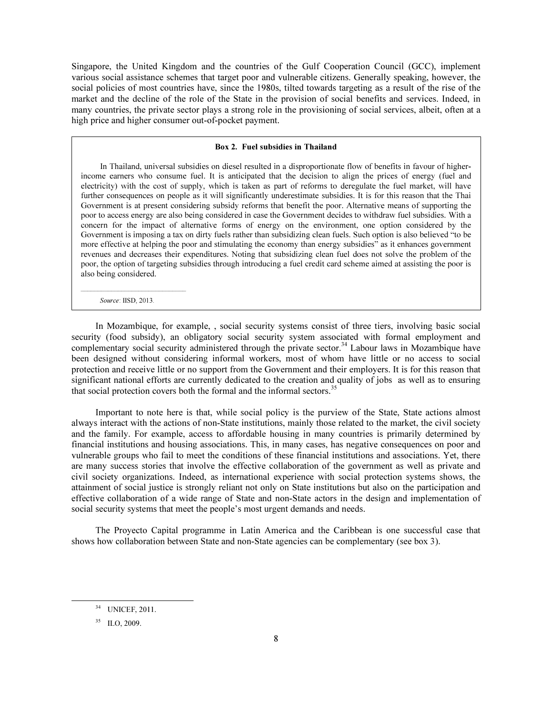Singapore, the United Kingdom and the countries of the Gulf Cooperation Council (GCC), implement various social assistance schemes that target poor and vulnerable citizens. Generally speaking, however, the social policies of most countries have, since the 1980s, tilted towards targeting as a result of the rise of the market and the decline of the role of the State in the provision of social benefits and services. Indeed, in many countries, the private sector plays a strong role in the provisioning of social services, albeit, often at a high price and higher consumer out-of-pocket payment.

# Box 2. Fuel subsidies in Thailand

 In Thailand, universal subsidies on diesel resulted in a disproportionate flow of benefits in favour of higherincome earners who consume fuel. It is anticipated that the decision to align the prices of energy (fuel and electricity) with the cost of supply, which is taken as part of reforms to deregulate the fuel market, will have further consequences on people as it will significantly underestimate subsidies. It is for this reason that the Thai Government is at present considering subsidy reforms that benefit the poor. Alternative means of supporting the poor to access energy are also being considered in case the Government decides to withdraw fuel subsidies. With a concern for the impact of alternative forms of energy on the environment, one option considered by the Government is imposing a tax on dirty fuels rather than subsidizing clean fuels. Such option is also believed "to be more effective at helping the poor and stimulating the economy than energy subsidies" as it enhances government revenues and decreases their expenditures. Noting that subsidizing clean fuel does not solve the problem of the poor, the option of targeting subsidies through introducing a fuel credit card scheme aimed at assisting the poor is also being considered.

Source: IISD, 2013.

 In Mozambique, for example, , social security systems consist of three tiers, involving basic social security (food subsidy), an obligatory social security system associated with formal employment and complementary social security administered through the private sector.<sup>34</sup> Labour laws in Mozambique have been designed without considering informal workers, most of whom have little or no access to social protection and receive little or no support from the Government and their employers. It is for this reason that significant national efforts are currently dedicated to the creation and quality of jobs as well as to ensuring that social protection covers both the formal and the informal sectors.<sup>35</sup>

 Important to note here is that, while social policy is the purview of the State, State actions almost always interact with the actions of non-State institutions, mainly those related to the market, the civil society and the family. For example, access to affordable housing in many countries is primarily determined by financial institutions and housing associations. This, in many cases, has negative consequences on poor and vulnerable groups who fail to meet the conditions of these financial institutions and associations. Yet, there are many success stories that involve the effective collaboration of the government as well as private and civil society organizations. Indeed, as international experience with social protection systems shows, the attainment of social justice is strongly reliant not only on State institutions but also on the participation and effective collaboration of a wide range of State and non-State actors in the design and implementation of social security systems that meet the people's most urgent demands and needs.

 The Proyecto Capital programme in Latin America and the Caribbean is one successful case that shows how collaboration between State and non-State agencies can be complementary (see box 3).

<sup>34</sup> UNICEF, 2011.

<sup>35</sup> ILO, 2009.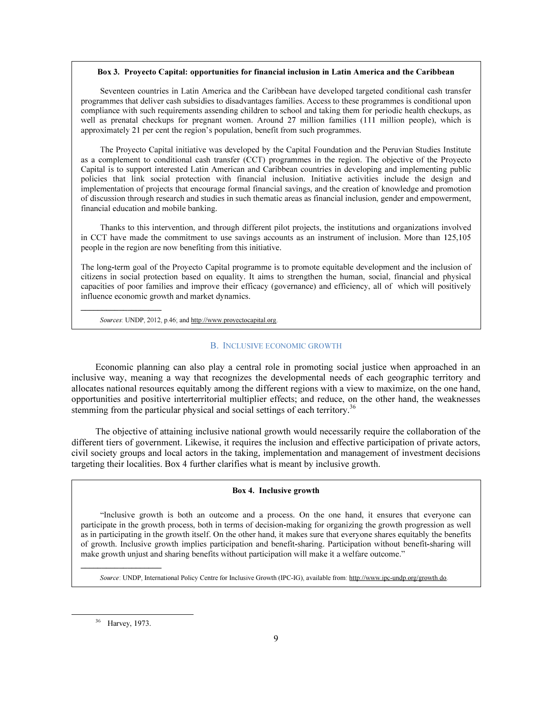#### Box 3. Proyecto Capital: opportunities for financial inclusion in Latin America and the Caribbean

 Seventeen countries in Latin America and the Caribbean have developed targeted conditional cash transfer programmes that deliver cash subsidies to disadvantages families. Access to these programmes is conditional upon compliance with such requirements assending children to school and taking them for periodic health checkups, as well as prenatal checkups for pregnant women. Around 27 million families (111 million people), which is approximately 21 per cent the region's population, benefit from such programmes.

 The Proyecto Capital initiative was developed by the Capital Foundation and the Peruvian Studies Institute as a complement to conditional cash transfer (CCT) programmes in the region. The objective of the Proyecto Capital is to support interested Latin American and Caribbean countries in developing and implementing public policies that link social protection with financial inclusion. Initiative activities include the design and implementation of projects that encourage formal financial savings, and the creation of knowledge and promotion of discussion through research and studies in such thematic areas as financial inclusion, gender and empowerment, financial education and mobile banking.

 Thanks to this intervention, and through different pilot projects, the institutions and organizations involved in CCT have made the commitment to use savings accounts as an instrument of inclusion. More than 125,105 people in the region are now benefiting from this initiative.

The long-term goal of the Proyecto Capital programme is to promote equitable development and the inclusion of citizens in social protection based on equality. It aims to strengthen the human, social, financial and physical capacities of poor families and improve their efficacy (governance) and efficiency, all of which will positively influence economic growth and market dynamics.

Sources: UNDP, 2012, p.46; and http://www.proyectocapital.org.

#### B. INCLUSIVE ECONOMIC GROWTH

 Economic planning can also play a central role in promoting social justice when approached in an inclusive way, meaning a way that recognizes the developmental needs of each geographic territory and allocates national resources equitably among the different regions with a view to maximize, on the one hand, opportunities and positive interterritorial multiplier effects; and reduce, on the other hand, the weaknesses stemming from the particular physical and social settings of each territory.<sup>36</sup>

 The objective of attaining inclusive national growth would necessarily require the collaboration of the different tiers of government. Likewise, it requires the inclusion and effective participation of private actors, civil society groups and local actors in the taking, implementation and management of investment decisions targeting their localities. Box 4 further clarifies what is meant by inclusive growth.

# Box 4. Inclusive growth

 "Inclusive growth is both an outcome and a process. On the one hand, it ensures that everyone can participate in the growth process, both in terms of decision-making for organizing the growth progression as well as in participating in the growth itself. On the other hand, it makes sure that everyone shares equitably the benefits of growth. Inclusive growth implies participation and benefit-sharing. Participation without benefit-sharing will make growth unjust and sharing benefits without participation will make it a welfare outcome."

Source: UNDP, International Policy Centre for Inclusive Growth (IPC-IG), available from: http://www.ipc-undp.org/growth.do.

<sup>36</sup> Harvey, 1973.

 $\overline{a}$ 

\_\_\_\_\_\_\_\_\_\_\_\_\_\_\_\_\_\_\_

\_\_\_\_\_\_\_\_\_\_\_\_\_\_\_\_\_\_\_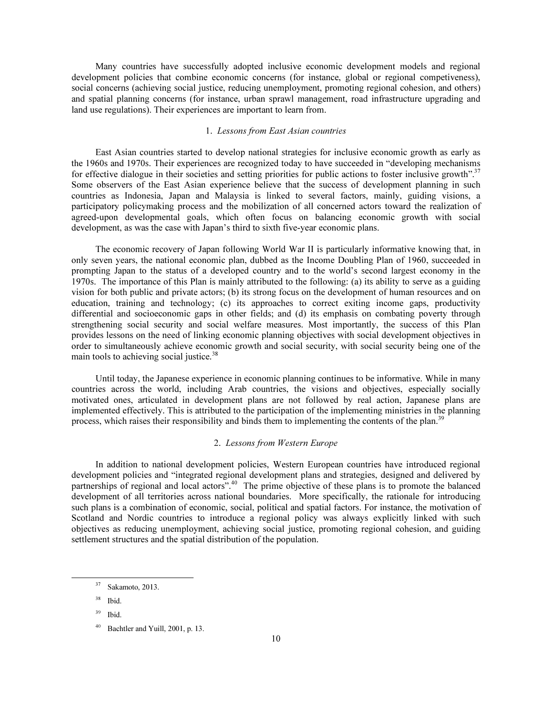Many countries have successfully adopted inclusive economic development models and regional development policies that combine economic concerns (for instance, global or regional competiveness), social concerns (achieving social justice, reducing unemployment, promoting regional cohesion, and others) and spatial planning concerns (for instance, urban sprawl management, road infrastructure upgrading and land use regulations). Their experiences are important to learn from.

#### 1. Lessons from East Asian countries

 East Asian countries started to develop national strategies for inclusive economic growth as early as the 1960s and 1970s. Their experiences are recognized today to have succeeded in "developing mechanisms for effective dialogue in their societies and setting priorities for public actions to foster inclusive growth".<sup>37</sup> Some observers of the East Asian experience believe that the success of development planning in such countries as Indonesia, Japan and Malaysia is linked to several factors, mainly, guiding visions, a participatory policymaking process and the mobilization of all concerned actors toward the realization of agreed-upon developmental goals, which often focus on balancing economic growth with social development, as was the case with Japan's third to sixth five-year economic plans.

 The economic recovery of Japan following World War II is particularly informative knowing that, in only seven years, the national economic plan, dubbed as the Income Doubling Plan of 1960, succeeded in prompting Japan to the status of a developed country and to the world's second largest economy in the 1970s. The importance of this Plan is mainly attributed to the following: (a) its ability to serve as a guiding vision for both public and private actors; (b) its strong focus on the development of human resources and on education, training and technology; (c) its approaches to correct exiting income gaps, productivity differential and socioeconomic gaps in other fields; and (d) its emphasis on combating poverty through strengthening social security and social welfare measures. Most importantly, the success of this Plan provides lessons on the need of linking economic planning objectives with social development objectives in order to simultaneously achieve economic growth and social security, with social security being one of the main tools to achieving social justice.<sup>38</sup>

 Until today, the Japanese experience in economic planning continues to be informative. While in many countries across the world, including Arab countries, the visions and objectives, especially socially motivated ones, articulated in development plans are not followed by real action, Japanese plans are implemented effectively. This is attributed to the participation of the implementing ministries in the planning process, which raises their responsibility and binds them to implementing the contents of the plan.<sup>39</sup>

# 2. Lessons from Western Europe

 In addition to national development policies, Western European countries have introduced regional development policies and "integrated regional development plans and strategies, designed and delivered by partnerships of regional and local actors".<sup>40</sup> The prime objective of these plans is to promote the balanced development of all territories across national boundaries. More specifically, the rationale for introducing such plans is a combination of economic, social, political and spatial factors. For instance, the motivation of Scotland and Nordic countries to introduce a regional policy was always explicitly linked with such objectives as reducing unemployment, achieving social justice, promoting regional cohesion, and guiding settlement structures and the spatial distribution of the population.

<sup>37</sup> Sakamoto, 2013.

<sup>38</sup> Ibid.

<sup>39</sup> Ibid.

Bachtler and Yuill, 2001, p. 13.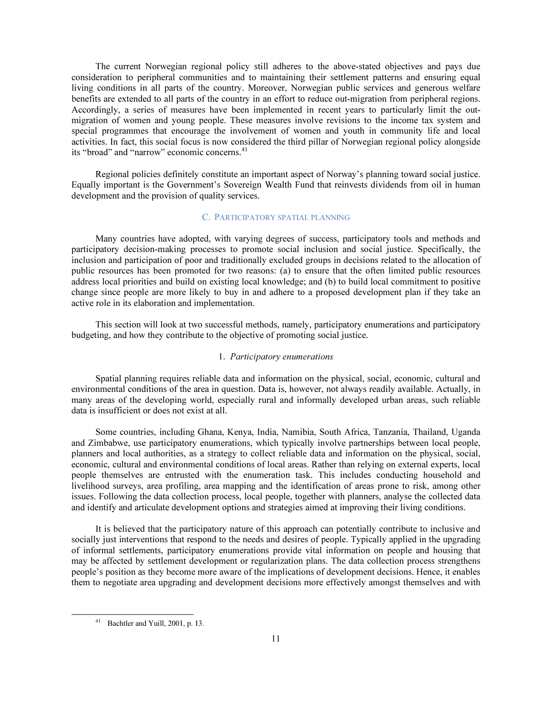The current Norwegian regional policy still adheres to the above-stated objectives and pays due consideration to peripheral communities and to maintaining their settlement patterns and ensuring equal living conditions in all parts of the country. Moreover, Norwegian public services and generous welfare benefits are extended to all parts of the country in an effort to reduce out-migration from peripheral regions. Accordingly, a series of measures have been implemented in recent years to particularly limit the outmigration of women and young people. These measures involve revisions to the income tax system and special programmes that encourage the involvement of women and youth in community life and local activities. In fact, this social focus is now considered the third pillar of Norwegian regional policy alongside its "broad" and "narrow" economic concerns.<sup>41</sup>

 Regional policies definitely constitute an important aspect of Norway's planning toward social justice. Equally important is the Government's Sovereign Wealth Fund that reinvests dividends from oil in human development and the provision of quality services.

# C. PARTICIPATORY SPATIAL PLANNING

 Many countries have adopted, with varying degrees of success, participatory tools and methods and participatory decision-making processes to promote social inclusion and social justice. Specifically, the inclusion and participation of poor and traditionally excluded groups in decisions related to the allocation of public resources has been promoted for two reasons: (a) to ensure that the often limited public resources address local priorities and build on existing local knowledge; and (b) to build local commitment to positive change since people are more likely to buy in and adhere to a proposed development plan if they take an active role in its elaboration and implementation.

 This section will look at two successful methods, namely, participatory enumerations and participatory budgeting, and how they contribute to the objective of promoting social justice.

# 1. Participatory enumerations

 Spatial planning requires reliable data and information on the physical, social, economic, cultural and environmental conditions of the area in question. Data is, however, not always readily available. Actually, in many areas of the developing world, especially rural and informally developed urban areas, such reliable data is insufficient or does not exist at all.

 Some countries, including Ghana, Kenya, India, Namibia, South Africa, Tanzania, Thailand, Uganda and Zimbabwe, use participatory enumerations, which typically involve partnerships between local people, planners and local authorities, as a strategy to collect reliable data and information on the physical, social, economic, cultural and environmental conditions of local areas. Rather than relying on external experts, local people themselves are entrusted with the enumeration task. This includes conducting household and livelihood surveys, area profiling, area mapping and the identification of areas prone to risk, among other issues. Following the data collection process, local people, together with planners, analyse the collected data and identify and articulate development options and strategies aimed at improving their living conditions.

 It is believed that the participatory nature of this approach can potentially contribute to inclusive and socially just interventions that respond to the needs and desires of people. Typically applied in the upgrading of informal settlements, participatory enumerations provide vital information on people and housing that may be affected by settlement development or regularization plans. The data collection process strengthens people's position as they become more aware of the implications of development decisions. Hence, it enables them to negotiate area upgrading and development decisions more effectively amongst themselves and with

<sup>41</sup> Bachtler and Yuill, 2001, p. 13.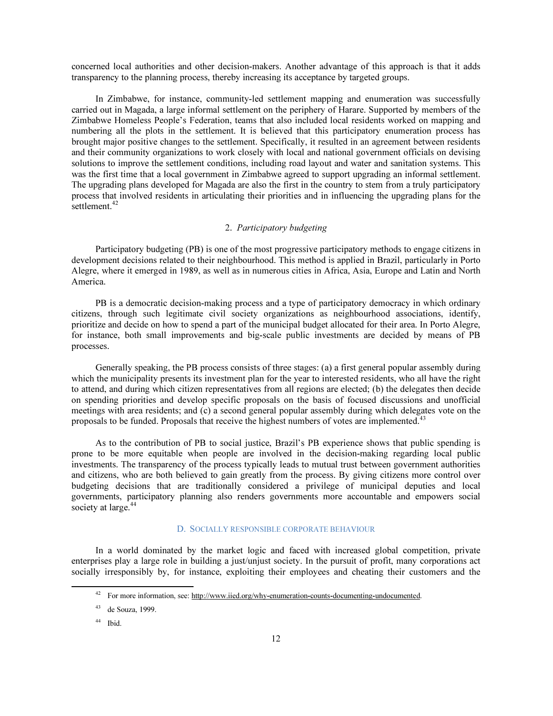concerned local authorities and other decision-makers. Another advantage of this approach is that it adds transparency to the planning process, thereby increasing its acceptance by targeted groups.

 In Zimbabwe, for instance, community-led settlement mapping and enumeration was successfully carried out in Magada, a large informal settlement on the periphery of Harare. Supported by members of the Zimbabwe Homeless People's Federation, teams that also included local residents worked on mapping and numbering all the plots in the settlement. It is believed that this participatory enumeration process has brought major positive changes to the settlement. Specifically, it resulted in an agreement between residents and their community organizations to work closely with local and national government officials on devising solutions to improve the settlement conditions, including road layout and water and sanitation systems. This was the first time that a local government in Zimbabwe agreed to support upgrading an informal settlement. The upgrading plans developed for Magada are also the first in the country to stem from a truly participatory process that involved residents in articulating their priorities and in influencing the upgrading plans for the settlement.<sup>42</sup>

# 2. Participatory budgeting

 Participatory budgeting (PB) is one of the most progressive participatory methods to engage citizens in development decisions related to their neighbourhood. This method is applied in Brazil, particularly in Porto Alegre, where it emerged in 1989, as well as in numerous cities in Africa, Asia, Europe and Latin and North America.

 PB is a democratic decision-making process and a type of participatory democracy in which ordinary citizens, through such legitimate civil society organizations as neighbourhood associations, identify, prioritize and decide on how to spend a part of the municipal budget allocated for their area. In Porto Alegre, for instance, both small improvements and big-scale public investments are decided by means of PB processes.

 Generally speaking, the PB process consists of three stages: (a) a first general popular assembly during which the municipality presents its investment plan for the year to interested residents, who all have the right to attend, and during which citizen representatives from all regions are elected; (b) the delegates then decide on spending priorities and develop specific proposals on the basis of focused discussions and unofficial meetings with area residents; and (c) a second general popular assembly during which delegates vote on the proposals to be funded. Proposals that receive the highest numbers of votes are implemented.<sup>43</sup>

 As to the contribution of PB to social justice, Brazil's PB experience shows that public spending is prone to be more equitable when people are involved in the decision-making regarding local public investments. The transparency of the process typically leads to mutual trust between government authorities and citizens, who are both believed to gain greatly from the process. By giving citizens more control over budgeting decisions that are traditionally considered a privilege of municipal deputies and local governments, participatory planning also renders governments more accountable and empowers social society at large. $44$ 

# D. SOCIALLY RESPONSIBLE CORPORATE BEHAVIOUR

 In a world dominated by the market logic and faced with increased global competition, private enterprises play a large role in building a just/unjust society. In the pursuit of profit, many corporations act socially irresponsibly by, for instance, exploiting their employees and cheating their customers and the

<sup>&</sup>lt;sup>42</sup> For more information, see: http://www.iied.org/why-enumeration-counts-documenting-undocumented.

 $43$  de Souza, 1999.

<sup>44</sup> Ibid.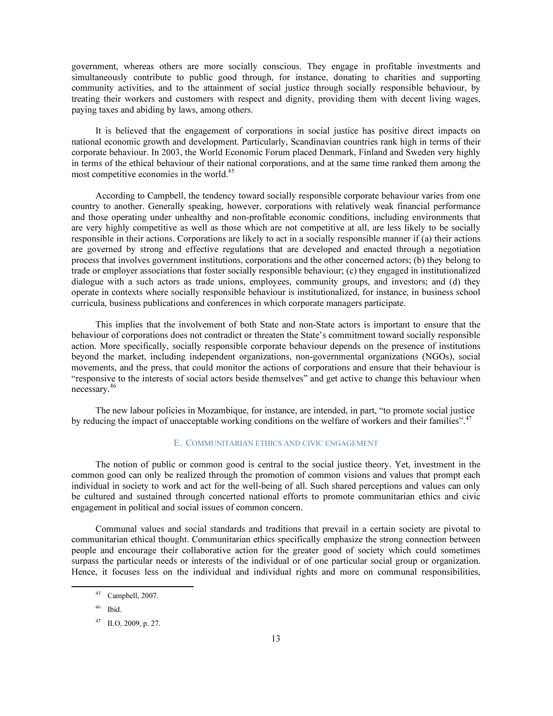government, whereas others are more socially conscious. They engage in profitable investments and simultaneously contribute to public good through, for instance, donating to charities and supporting community activities, and to the attainment of social justice through socially responsible behaviour, by treating their workers and customers with respect and dignity, providing them with decent living wages, paying taxes and abiding by laws, among others.

 It is believed that the engagement of corporations in social justice has positive direct impacts on national economic growth and development. Particularly, Scandinavian countries rank high in terms of their corporate behaviour. In 2003, the World Economic Forum placed Denmark, Finland and Sweden very highly in terms of the ethical behaviour of their national corporations, and at the same time ranked them among the most competitive economies in the world.<sup>45</sup>

 According to Campbell, the tendency toward socially responsible corporate behaviour varies from one country to another. Generally speaking, however, corporations with relatively weak financial performance and those operating under unhealthy and non-profitable economic conditions, including environments that are very highly competitive as well as those which are not competitive at all, are less likely to be socially responsible in their actions. Corporations are likely to act in a socially responsible manner if (a) their actions are governed by strong and effective regulations that are developed and enacted through a negotiation process that involves government institutions, corporations and the other concerned actors; (b) they belong to trade or employer associations that foster socially responsible behaviour; (c) they engaged in institutionalized dialogue with a such actors as trade unions, employees, community groups, and investors; and (d) they operate in contexts where socially responsible behaviour is institutionalized, for instance, in business school curricula, business publications and conferences in which corporate managers participate.

 This implies that the involvement of both State and non-State actors is important to ensure that the behaviour of corporations does not contradict or threaten the State's commitment toward socially responsible action. More specifically, socially responsible corporate behaviour depends on the presence of institutions beyond the market, including independent organizations, non-governmental organizations (NGOs), social movements, and the press, that could monitor the actions of corporations and ensure that their behaviour is "responsive to the interests of social actors beside themselves" and get active to change this behaviour when necessary.<sup>46</sup>

 The new labour policies in Mozambique, for instance, are intended, in part, "to promote social justice by reducing the impact of unacceptable working conditions on the welfare of workers and their families".<sup>47</sup>

# E. COMMUNITARIAN ETHICS AND CIVIC ENGAGEMENT

 The notion of public or common good is central to the social justice theory. Yet, investment in the common good can only be realized through the promotion of common visions and values that prompt each individual in society to work and act for the well-being of all. Such shared perceptions and values can only be cultured and sustained through concerted national efforts to promote communitarian ethics and civic engagement in political and social issues of common concern.

 Communal values and social standards and traditions that prevail in a certain society are pivotal to communitarian ethical thought. Communitarian ethics specifically emphasize the strong connection between people and encourage their collaborative action for the greater good of society which could sometimes surpass the particular needs or interests of the individual or of one particular social group or organization. Hence, it focuses less on the individual and individual rights and more on communal responsibilities,

 $45$  Campbell, 2007.

<sup>46</sup> Ibid.

<sup>47</sup> ILO, 2009, p. 27.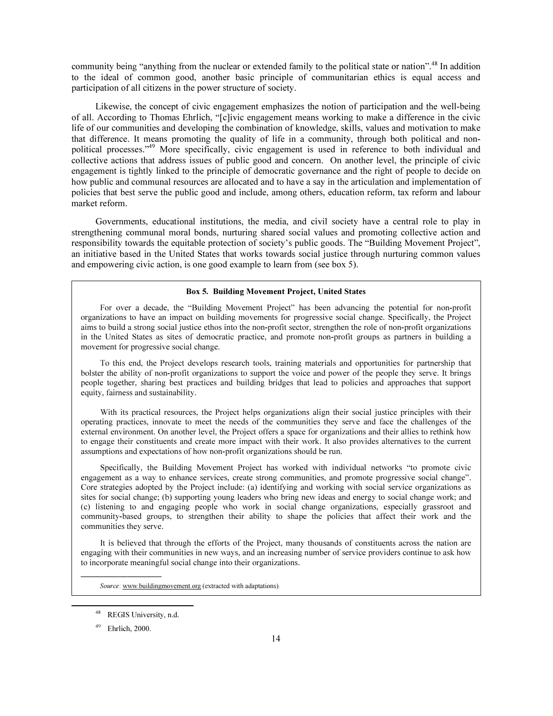community being "anything from the nuclear or extended family to the political state or nation".<sup>48</sup> In addition to the ideal of common good, another basic principle of communitarian ethics is equal access and participation of all citizens in the power structure of society.

 Likewise, the concept of civic engagement emphasizes the notion of participation and the well-being of all. According to Thomas Ehrlich, "[c]ivic engagement means working to make a difference in the civic life of our communities and developing the combination of knowledge, skills, values and motivation to make that difference. It means promoting the quality of life in a community, through both political and nonpolitical processes."<sup>49</sup> More specifically, civic engagement is used in reference to both individual and collective actions that address issues of public good and concern. On another level, the principle of civic engagement is tightly linked to the principle of democratic governance and the right of people to decide on how public and communal resources are allocated and to have a say in the articulation and implementation of policies that best serve the public good and include, among others, education reform, tax reform and labour market reform.

 Governments, educational institutions, the media, and civil society have a central role to play in strengthening communal moral bonds, nurturing shared social values and promoting collective action and responsibility towards the equitable protection of society's public goods. The "Building Movement Project", an initiative based in the United States that works towards social justice through nurturing common values and empowering civic action, is one good example to learn from (see box 5).

#### Box 5. Building Movement Project, United States

 For over a decade, the "Building Movement Project" has been advancing the potential for non-profit organizations to have an impact on building movements for progressive social change. Specifically, the Project aims to build a strong social justice ethos into the non-profit sector, strengthen the role of non-profit organizations in the United States as sites of democratic practice, and promote non-profit groups as partners in building a movement for progressive social change.

 To this end, the Project develops research tools, training materials and opportunities for partnership that bolster the ability of non-profit organizations to support the voice and power of the people they serve. It brings people together, sharing best practices and building bridges that lead to policies and approaches that support equity, fairness and sustainability.

 With its practical resources, the Project helps organizations align their social justice principles with their operating practices, innovate to meet the needs of the communities they serve and face the challenges of the external environment. On another level, the Project offers a space for organizations and their allies to rethink how to engage their constituents and create more impact with their work. It also provides alternatives to the current assumptions and expectations of how non-profit organizations should be run.

 Specifically, the Building Movement Project has worked with individual networks "to promote civic engagement as a way to enhance services, create strong communities, and promote progressive social change". Core strategies adopted by the Project include: (a) identifying and working with social service organizations as sites for social change; (b) supporting young leaders who bring new ideas and energy to social change work; and (c) listening to and engaging people who work in social change organizations, especially grassroot and community-based groups, to strengthen their ability to shape the policies that affect their work and the communities they serve.

 It is believed that through the efforts of the Project, many thousands of constituents across the nation are engaging with their communities in new ways, and an increasing number of service providers continue to ask how to incorporate meaningful social change into their organizations.

Source: www.buildingmovement.org (extracted with adaptations).

 $\overline{\phantom{a}}$  , and the set of the set of the set of the set of the set of the set of the set of the set of the set of the set of the set of the set of the set of the set of the set of the set of the set of the set of the s

 $\overline{\phantom{a}}$  $\overline{a}$ 

<sup>48</sup> REGIS University, n.d.

 $49$  Ehrlich, 2000.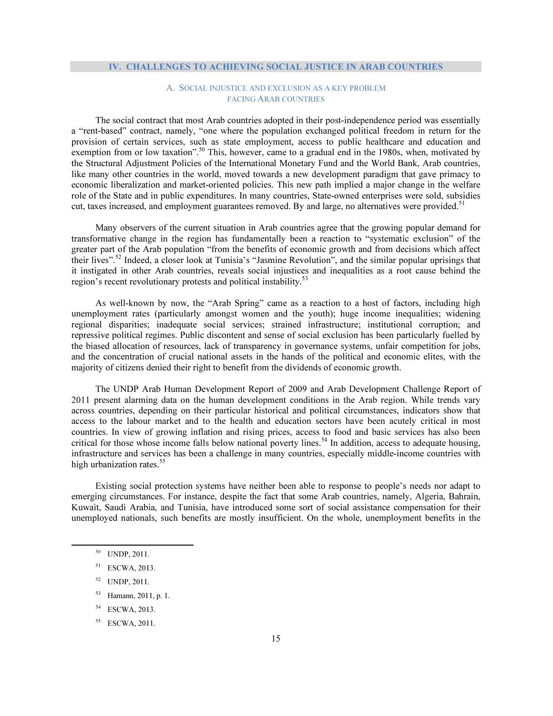# IV. CHALLENGES TO ACHIEVING SOCIAL JUSTICE IN ARAB COUNTRIES

# A. SOCIAL INJUSTICE AND EXCLUSION AS A KEY PROBLEM FACING ARAB COUNTRIES

 The social contract that most Arab countries adopted in their post-independence period was essentially a "rent-based" contract, namely, "one where the population exchanged political freedom in return for the provision of certain services, such as state employment, access to public healthcare and education and exemption from or low taxation".<sup>50</sup> This, however, came to a gradual end in the 1980s, when, motivated by the Structural Adjustment Policies of the International Monetary Fund and the World Bank, Arab countries, like many other countries in the world, moved towards a new development paradigm that gave primacy to economic liberalization and market-oriented policies. This new path implied a major change in the welfare role of the State and in public expenditures. In many countries, State-owned enterprises were sold, subsidies cut, taxes increased, and employment guarantees removed. By and large, no alternatives were provided.<sup>51</sup>

 Many observers of the current situation in Arab countries agree that the growing popular demand for transformative change in the region has fundamentally been a reaction to "systematic exclusion" of the greater part of the Arab population "from the benefits of economic growth and from decisions which affect their lives".<sup>52</sup> Indeed, a closer look at Tunisia's "Jasmine Revolution", and the similar popular uprisings that it instigated in other Arab countries, reveals social injustices and inequalities as a root cause behind the region's recent revolutionary protests and political instability.<sup>53</sup>

 As well-known by now, the "Arab Spring" came as a reaction to a host of factors, including high unemployment rates (particularly amongst women and the youth); huge income inequalities; widening regional disparities; inadequate social services; strained infrastructure; institutional corruption; and repressive political regimes. Public discontent and sense of social exclusion has been particularly fuelled by the biased allocation of resources, lack of transparency in governance systems, unfair competition for jobs, and the concentration of crucial national assets in the hands of the political and economic elites, with the majority of citizens denied their right to benefit from the dividends of economic growth.

 The UNDP Arab Human Development Report of 2009 and Arab Development Challenge Report of 2011 present alarming data on the human development conditions in the Arab region. While trends vary across countries, depending on their particular historical and political circumstances, indicators show that access to the labour market and to the health and education sectors have been acutely critical in most countries. In view of growing inflation and rising prices, access to food and basic services has also been critical for those whose income falls below national poverty lines.<sup>54</sup> In addition, access to adequate housing, infrastructure and services has been a challenge in many countries, especially middle-income countries with high urbanization rates.<sup>55</sup>

 Existing social protection systems have neither been able to response to people's needs nor adapt to emerging circumstances. For instance, despite the fact that some Arab countries, namely, Algeria, Bahrain, Kuwait, Saudi Arabia, and Tunisia, have introduced some sort of social assistance compensation for their unemployed nationals, such benefits are mostly insufficient. On the whole, unemployment benefits in the

- <sup>52</sup> UNDP, 2011.
- <sup>53</sup> Hamann, 2011, p. 1.
- <sup>54</sup> ESCWA, 2013.
- <sup>55</sup> ESCWA, 2011.

<sup>50</sup> UNDP, 2011.

<sup>51</sup> ESCWA, 2013.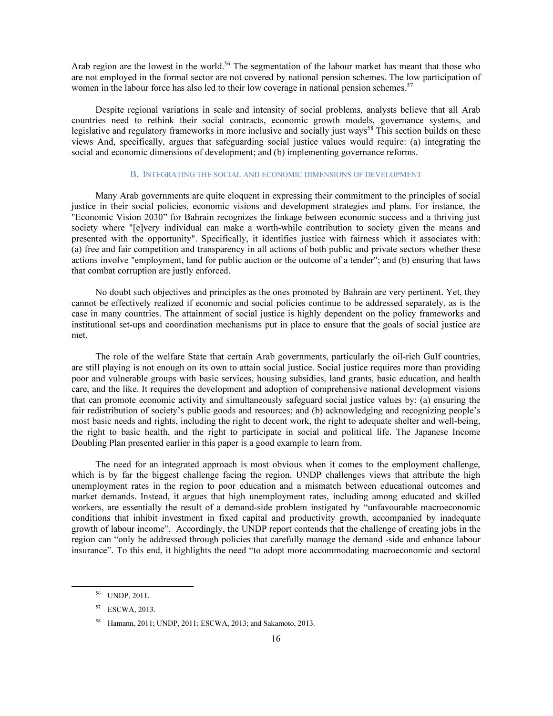Arab region are the lowest in the world.<sup>56</sup> The segmentation of the labour market has meant that those who are not employed in the formal sector are not covered by national pension schemes. The low participation of women in the labour force has also led to their low coverage in national pension schemes.<sup>57</sup>

 Despite regional variations in scale and intensity of social problems, analysts believe that all Arab countries need to rethink their social contracts, economic growth models, governance systems, and legislative and regulatory frameworks in more inclusive and socially just ways<sup>58</sup> This section builds on these views And, specifically, argues that safeguarding social justice values would require: (a) integrating the social and economic dimensions of development; and (b) implementing governance reforms.

# B. INTEGRATING THE SOCIAL AND ECONOMIC DIMENSIONS OF DEVELOPMENT

 Many Arab governments are quite eloquent in expressing their commitment to the principles of social justice in their social policies, economic visions and development strategies and plans. For instance, the "Economic Vision 2030" for Bahrain recognizes the linkage between economic success and a thriving just society where "[e]very individual can make a worth-while contribution to society given the means and presented with the opportunity". Specifically, it identifies justice with fairness which it associates with: (a) free and fair competition and transparency in all actions of both public and private sectors whether these actions involve "employment, land for public auction or the outcome of a tender"; and (b) ensuring that laws that combat corruption are justly enforced.

 No doubt such objectives and principles as the ones promoted by Bahrain are very pertinent. Yet, they cannot be effectively realized if economic and social policies continue to be addressed separately, as is the case in many countries. The attainment of social justice is highly dependent on the policy frameworks and institutional set-ups and coordination mechanisms put in place to ensure that the goals of social justice are met.

 The role of the welfare State that certain Arab governments, particularly the oil-rich Gulf countries, are still playing is not enough on its own to attain social justice. Social justice requires more than providing poor and vulnerable groups with basic services, housing subsidies, land grants, basic education, and health care, and the like. It requires the development and adoption of comprehensive national development visions that can promote economic activity and simultaneously safeguard social justice values by: (a) ensuring the fair redistribution of society's public goods and resources; and (b) acknowledging and recognizing people's most basic needs and rights, including the right to decent work, the right to adequate shelter and well-being, the right to basic health, and the right to participate in social and political life. The Japanese Income Doubling Plan presented earlier in this paper is a good example to learn from.

 The need for an integrated approach is most obvious when it comes to the employment challenge, which is by far the biggest challenge facing the region. UNDP challenges views that attribute the high unemployment rates in the region to poor education and a mismatch between educational outcomes and market demands. Instead, it argues that high unemployment rates, including among educated and skilled workers, are essentially the result of a demand-side problem instigated by "unfavourable macroeconomic conditions that inhibit investment in fixed capital and productivity growth, accompanied by inadequate growth of labour income". Accordingly, the UNDP report contends that the challenge of creating jobs in the region can "only be addressed through policies that carefully manage the demand -side and enhance labour insurance". To this end, it highlights the need "to adopt more accommodating macroeconomic and sectoral

<sup>56</sup> UNDP, 2011.

<sup>57</sup> ESCWA, 2013.

Hamann, 2011; UNDP, 2011; ESCWA, 2013; and Sakamoto, 2013.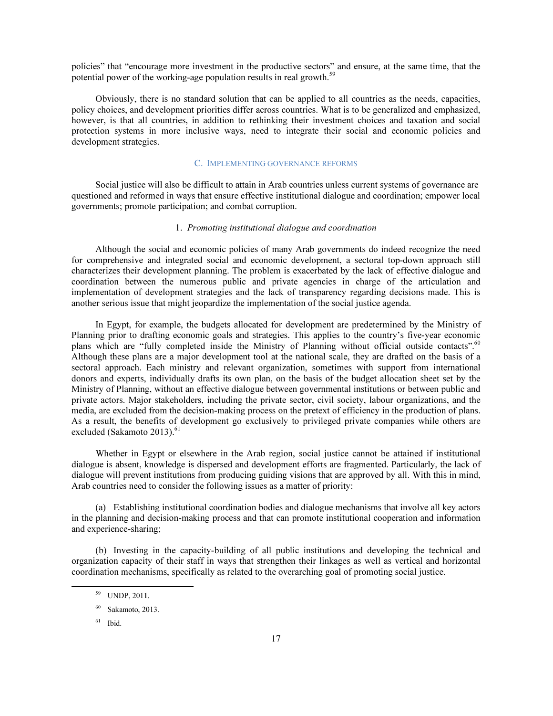policies" that "encourage more investment in the productive sectors" and ensure, at the same time, that the potential power of the working-age population results in real growth.<sup>5</sup>

 Obviously, there is no standard solution that can be applied to all countries as the needs, capacities, policy choices, and development priorities differ across countries. What is to be generalized and emphasized, however, is that all countries, in addition to rethinking their investment choices and taxation and social protection systems in more inclusive ways, need to integrate their social and economic policies and development strategies.

# C. IMPLEMENTING GOVERNANCE REFORMS

 Social justice will also be difficult to attain in Arab countries unless current systems of governance are questioned and reformed in ways that ensure effective institutional dialogue and coordination; empower local governments; promote participation; and combat corruption.

# 1. Promoting institutional dialogue and coordination

 Although the social and economic policies of many Arab governments do indeed recognize the need for comprehensive and integrated social and economic development, a sectoral top-down approach still characterizes their development planning. The problem is exacerbated by the lack of effective dialogue and coordination between the numerous public and private agencies in charge of the articulation and implementation of development strategies and the lack of transparency regarding decisions made. This is another serious issue that might jeopardize the implementation of the social justice agenda.

 In Egypt, for example, the budgets allocated for development are predetermined by the Ministry of Planning prior to drafting economic goals and strategies. This applies to the country's five-year economic plans which are "fully completed inside the Ministry of Planning without official outside contacts".<sup>60</sup> Although these plans are a major development tool at the national scale, they are drafted on the basis of a sectoral approach. Each ministry and relevant organization, sometimes with support from international donors and experts, individually drafts its own plan, on the basis of the budget allocation sheet set by the Ministry of Planning, without an effective dialogue between governmental institutions or between public and private actors. Major stakeholders, including the private sector, civil society, labour organizations, and the media, are excluded from the decision-making process on the pretext of efficiency in the production of plans. As a result, the benefits of development go exclusively to privileged private companies while others are excluded (Sakamoto 2013).<sup>61</sup>

 Whether in Egypt or elsewhere in the Arab region, social justice cannot be attained if institutional dialogue is absent, knowledge is dispersed and development efforts are fragmented. Particularly, the lack of dialogue will prevent institutions from producing guiding visions that are approved by all. With this in mind, Arab countries need to consider the following issues as a matter of priority:

 (a) Establishing institutional coordination bodies and dialogue mechanisms that involve all key actors in the planning and decision-making process and that can promote institutional cooperation and information and experience-sharing;

 (b) Investing in the capacity-building of all public institutions and developing the technical and organization capacity of their staff in ways that strengthen their linkages as well as vertical and horizontal coordination mechanisms, specifically as related to the overarching goal of promoting social justice.

 $61$  Ibid.

<sup>59</sup> UNDP, 2011.

 $60$  Sakamoto, 2013.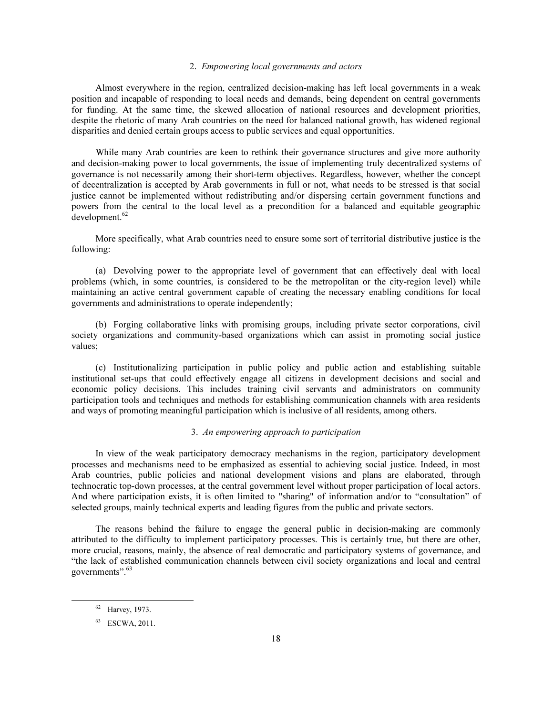# 2. Empowering local governments and actors

 Almost everywhere in the region, centralized decision-making has left local governments in a weak position and incapable of responding to local needs and demands, being dependent on central governments for funding. At the same time, the skewed allocation of national resources and development priorities, despite the rhetoric of many Arab countries on the need for balanced national growth, has widened regional disparities and denied certain groups access to public services and equal opportunities.

 While many Arab countries are keen to rethink their governance structures and give more authority and decision-making power to local governments, the issue of implementing truly decentralized systems of governance is not necessarily among their short-term objectives. Regardless, however, whether the concept of decentralization is accepted by Arab governments in full or not, what needs to be stressed is that social justice cannot be implemented without redistributing and/or dispersing certain government functions and powers from the central to the local level as a precondition for a balanced and equitable geographic development.<sup>62</sup>

 More specifically, what Arab countries need to ensure some sort of territorial distributive justice is the following:

 (a) Devolving power to the appropriate level of government that can effectively deal with local problems (which, in some countries, is considered to be the metropolitan or the city-region level) while maintaining an active central government capable of creating the necessary enabling conditions for local governments and administrations to operate independently;

 (b) Forging collaborative links with promising groups, including private sector corporations, civil society organizations and community-based organizations which can assist in promoting social justice values;

 (c) Institutionalizing participation in public policy and public action and establishing suitable institutional set-ups that could effectively engage all citizens in development decisions and social and economic policy decisions. This includes training civil servants and administrators on community participation tools and techniques and methods for establishing communication channels with area residents and ways of promoting meaningful participation which is inclusive of all residents, among others.

# 3. An empowering approach to participation

 In view of the weak participatory democracy mechanisms in the region, participatory development processes and mechanisms need to be emphasized as essential to achieving social justice. Indeed, in most Arab countries, public policies and national development visions and plans are elaborated, through technocratic top-down processes, at the central government level without proper participation of local actors. And where participation exists, it is often limited to "sharing" of information and/or to "consultation" of selected groups, mainly technical experts and leading figures from the public and private sectors.

 The reasons behind the failure to engage the general public in decision-making are commonly attributed to the difficulty to implement participatory processes. This is certainly true, but there are other, more crucial, reasons, mainly, the absence of real democratic and participatory systems of governance, and "the lack of established communication channels between civil society organizations and local and central governments".<sup>63</sup>

<sup>62</sup> Harvey, 1973.

<sup>63</sup> ESCWA, 2011.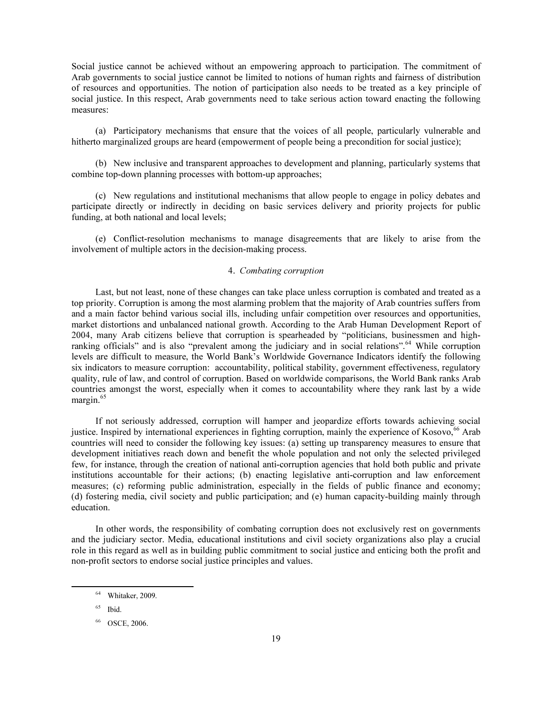Social justice cannot be achieved without an empowering approach to participation. The commitment of Arab governments to social justice cannot be limited to notions of human rights and fairness of distribution of resources and opportunities. The notion of participation also needs to be treated as a key principle of social justice. In this respect, Arab governments need to take serious action toward enacting the following measures:

 (a) Participatory mechanisms that ensure that the voices of all people, particularly vulnerable and hitherto marginalized groups are heard (empowerment of people being a precondition for social justice);

 (b) New inclusive and transparent approaches to development and planning, particularly systems that combine top-down planning processes with bottom-up approaches;

 (c) New regulations and institutional mechanisms that allow people to engage in policy debates and participate directly or indirectly in deciding on basic services delivery and priority projects for public funding, at both national and local levels;

 (e) Conflict-resolution mechanisms to manage disagreements that are likely to arise from the involvement of multiple actors in the decision-making process.

# 4. Combating corruption

 Last, but not least, none of these changes can take place unless corruption is combated and treated as a top priority. Corruption is among the most alarming problem that the majority of Arab countries suffers from and a main factor behind various social ills, including unfair competition over resources and opportunities, market distortions and unbalanced national growth. According to the Arab Human Development Report of 2004, many Arab citizens believe that corruption is spearheaded by "politicians, businessmen and highranking officials" and is also "prevalent among the judiciary and in social relations".<sup>64</sup> While corruption levels are difficult to measure, the World Bank's Worldwide Governance Indicators identify the following six indicators to measure corruption: accountability, political stability, government effectiveness, regulatory quality, rule of law, and control of corruption. Based on worldwide comparisons, the World Bank ranks Arab countries amongst the worst, especially when it comes to accountability where they rank last by a wide margin.<sup>65</sup>

 If not seriously addressed, corruption will hamper and jeopardize efforts towards achieving social justice. Inspired by international experiences in fighting corruption, mainly the experience of Kosovo,<sup>66</sup> Arab countries will need to consider the following key issues: (a) setting up transparency measures to ensure that development initiatives reach down and benefit the whole population and not only the selected privileged few, for instance, through the creation of national anti-corruption agencies that hold both public and private institutions accountable for their actions; (b) enacting legislative anti-corruption and law enforcement measures; (c) reforming public administration, especially in the fields of public finance and economy; (d) fostering media, civil society and public participation; and (e) human capacity-building mainly through education.

 In other words, the responsibility of combating corruption does not exclusively rest on governments and the judiciary sector. Media, educational institutions and civil society organizations also play a crucial role in this regard as well as in building public commitment to social justice and enticing both the profit and non-profit sectors to endorse social justice principles and values.

Whitaker, 2009.

 $65$  Ibid.

<sup>66</sup> OSCE, 2006.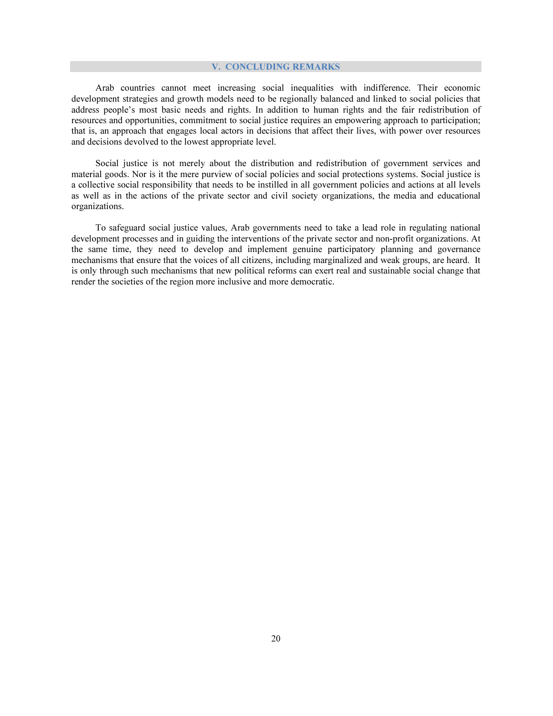#### V. CONCLUDING REMARKS

 Arab countries cannot meet increasing social inequalities with indifference. Their economic development strategies and growth models need to be regionally balanced and linked to social policies that address people's most basic needs and rights. In addition to human rights and the fair redistribution of resources and opportunities, commitment to social justice requires an empowering approach to participation; that is, an approach that engages local actors in decisions that affect their lives, with power over resources and decisions devolved to the lowest appropriate level.

 Social justice is not merely about the distribution and redistribution of government services and material goods. Nor is it the mere purview of social policies and social protections systems. Social justice is a collective social responsibility that needs to be instilled in all government policies and actions at all levels as well as in the actions of the private sector and civil society organizations, the media and educational organizations.

 To safeguard social justice values, Arab governments need to take a lead role in regulating national development processes and in guiding the interventions of the private sector and non-profit organizations. At the same time, they need to develop and implement genuine participatory planning and governance mechanisms that ensure that the voices of all citizens, including marginalized and weak groups, are heard. It is only through such mechanisms that new political reforms can exert real and sustainable social change that render the societies of the region more inclusive and more democratic.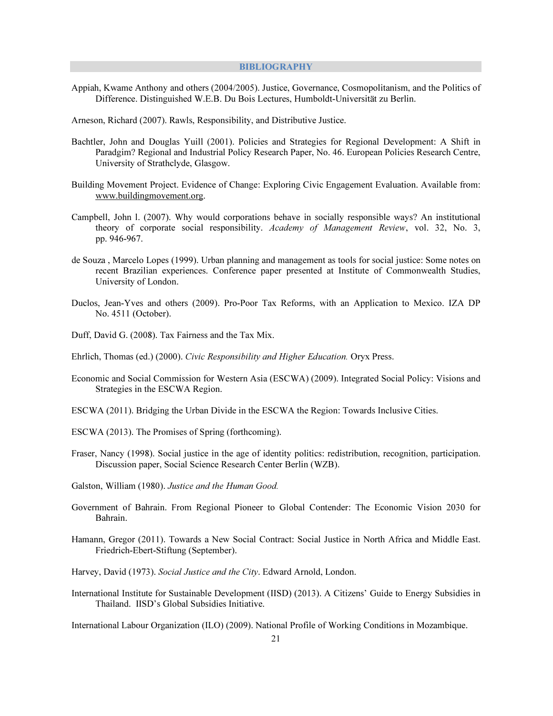Appiah, Kwame Anthony and others (2004/2005). Justice, Governance, Cosmopolitanism, and the Politics of Difference. Distinguished W.E.B. Du Bois Lectures, Humboldt-Universität zu Berlin.

Arneson, Richard (2007). Rawls, Responsibility, and Distributive Justice.

- Bachtler, John and Douglas Yuill (2001). Policies and Strategies for Regional Development: A Shift in Paradgim? Regional and Industrial Policy Research Paper, No. 46. European Policies Research Centre, University of Strathclyde, Glasgow.
- Building Movement Project. Evidence of Change: Exploring Civic Engagement Evaluation. Available from: www.buildingmovement.org.
- Campbell, John l. (2007). Why would corporations behave in socially responsible ways? An institutional theory of corporate social responsibility. Academy of Management Review, vol. 32, No. 3, pp. 946-967.
- de Souza , Marcelo Lopes (1999). Urban planning and management as tools for social justice: Some notes on recent Brazilian experiences. Conference paper presented at Institute of Commonwealth Studies, University of London.
- Duclos, Jean-Yves and others (2009). Pro-Poor Tax Reforms, with an Application to Mexico. IZA DP No. 4511 (October).
- Duff, David G. (2008). Tax Fairness and the Tax Mix.
- Ehrlich, Thomas (ed.) (2000). Civic Responsibility and Higher Education. Oryx Press.
- Economic and Social Commission for Western Asia (ESCWA) (2009). Integrated Social Policy: Visions and Strategies in the ESCWA Region.
- ESCWA (2011). Bridging the Urban Divide in the ESCWA the Region: Towards Inclusive Cities.
- ESCWA (2013). The Promises of Spring (forthcoming).
- Fraser, Nancy (1998). Social justice in the age of identity politics: redistribution, recognition, participation. Discussion paper, Social Science Research Center Berlin (WZB).
- Galston, William (1980). Justice and the Human Good.
- Government of Bahrain. From Regional Pioneer to Global Contender: The Economic Vision 2030 for Bahrain.
- Hamann, Gregor (2011). Towards a New Social Contract: Social Justice in North Africa and Middle East. Friedrich-Ebert-Stiftung (September).
- Harvey, David (1973). Social Justice and the City. Edward Arnold, London.
- International Institute for Sustainable Development (IISD) (2013). A Citizens' Guide to Energy Subsidies in Thailand. IISD's Global Subsidies Initiative.

International Labour Organization (ILO) (2009). National Profile of Working Conditions in Mozambique.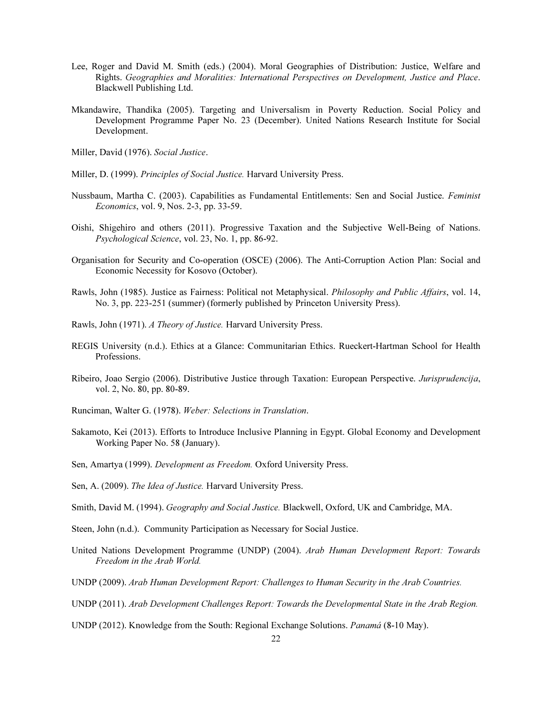- Lee, Roger and David M. Smith (eds.) (2004). Moral Geographies of Distribution: Justice, Welfare and Rights. Geographies and Moralities: International Perspectives on Development, Justice and Place. Blackwell Publishing Ltd.
- Mkandawire, Thandika (2005). Targeting and Universalism in Poverty Reduction. Social Policy and Development Programme Paper No. 23 (December). United Nations Research Institute for Social Development.
- Miller, David (1976). Social Justice.
- Miller, D. (1999). Principles of Social Justice. Harvard University Press.
- Nussbaum, Martha C. (2003). Capabilities as Fundamental Entitlements: Sen and Social Justice. Feminist Economics, vol. 9, Nos. 2-3, pp. 33-59.
- Oishi, Shigehiro and others (2011). Progressive Taxation and the Subjective Well-Being of Nations. Psychological Science, vol. 23, No. 1, pp. 86-92.
- Organisation for Security and Co-operation (OSCE) (2006). The Anti-Corruption Action Plan: Social and Economic Necessity for Kosovo (October).
- Rawls, John (1985). Justice as Fairness: Political not Metaphysical. Philosophy and Public Affairs, vol. 14, No. 3, pp. 223-251 (summer) (formerly published by Princeton University Press).
- Rawls, John (1971). A Theory of Justice. Harvard University Press.
- REGIS University (n.d.). Ethics at a Glance: Communitarian Ethics. Rueckert-Hartman School for Health Professions.
- Ribeiro, Joao Sergio (2006). Distributive Justice through Taxation: European Perspective. Jurisprudencija, vol. 2, No. 80, pp. 80-89.
- Runciman, Walter G. (1978). Weber: Selections in Translation.
- Sakamoto, Kei (2013). Efforts to Introduce Inclusive Planning in Egypt. Global Economy and Development Working Paper No. 58 (January).
- Sen, Amartya (1999). *Development as Freedom*. Oxford University Press.
- Sen, A. (2009). The Idea of Justice. Harvard University Press.
- Smith, David M. (1994). Geography and Social Justice. Blackwell, Oxford, UK and Cambridge, MA.
- Steen, John (n.d.). Community Participation as Necessary for Social Justice.
- United Nations Development Programme (UNDP) (2004). Arab Human Development Report: Towards Freedom in the Arab World.
- UNDP (2009). Arab Human Development Report: Challenges to Human Security in the Arab Countries.
- UNDP (2011). Arab Development Challenges Report: Towards the Developmental State in the Arab Region.
- UNDP (2012). Knowledge from the South: Regional Exchange Solutions. Panamá (8-10 May).